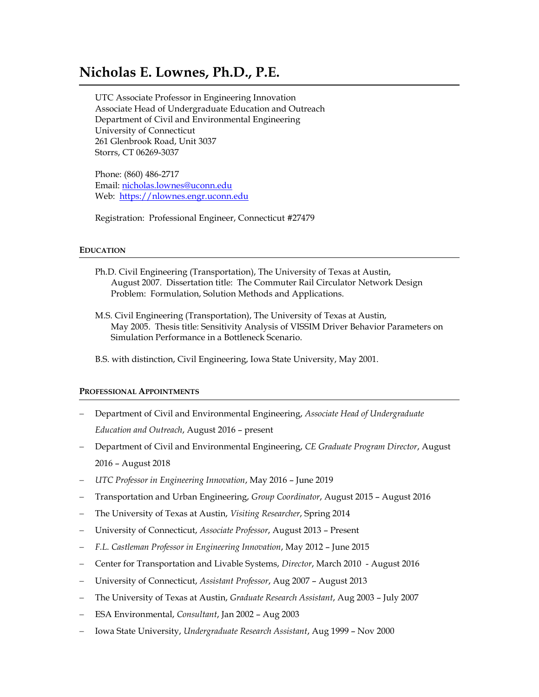# **Nicholas E. Lownes, Ph.D., P.E.**

UTC Associate Professor in Engineering Innovation Associate Head of Undergraduate Education and Outreach Department of Civil and Environmental Engineering University of Connecticut 261 Glenbrook Road, Unit 3037 Storrs, CT 06269-3037

Phone: (860) 486-2717 Email: [nicholas.lownes@uconn.edu](mailto:nicholas.lownes@uconn.edu) Web: [https://nlownes.engr.uconn.edu](https://nlownes.engr.uconn.edu/)

Registration: Professional Engineer, Connecticut #27479

## **EDUCATION**

- Ph.D. Civil Engineering (Transportation), The University of Texas at Austin, August 2007. Dissertation title: The Commuter Rail Circulator Network Design Problem: Formulation, Solution Methods and Applications.
- M.S. Civil Engineering (Transportation), The University of Texas at Austin, May 2005. Thesis title: Sensitivity Analysis of VISSIM Driver Behavior Parameters on Simulation Performance in a Bottleneck Scenario.
- B.S. with distinction, Civil Engineering, Iowa State University, May 2001.

#### **PROFESSIONAL APPOINTMENTS**

- − Department of Civil and Environmental Engineering, *Associate Head of Undergraduate Education and Outreach*, August 2016 – present
- − Department of Civil and Environmental Engineering, *CE Graduate Program Director*, August 2016 – August 2018
- − *UTC Professor in Engineering Innovation*, May 2016 June 2019
- − Transportation and Urban Engineering, *Group Coordinator*, August 2015 August 2016
- − The University of Texas at Austin, *Visiting Researcher*, Spring 2014
- − University of Connecticut, *Associate Professor*, August 2013 Present
- − *F.L. Castleman Professor in Engineering Innovation*, May 2012 June 2015
- − Center for Transportation and Livable Systems, *Director*, March 2010 August 2016
- − University of Connecticut, *Assistant Professor*, Aug 2007 August 2013
- − The University of Texas at Austin, *Graduate Research Assistant*, Aug 2003 July 2007
- − ESA Environmental, *Consultant*, Jan 2002 Aug 2003
- − Iowa State University, *Undergraduate Research Assistant*, Aug 1999 Nov 2000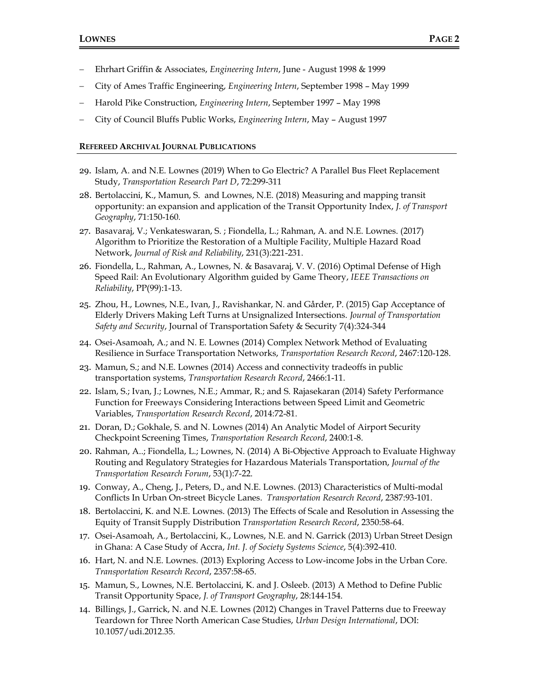- − Ehrhart Griffin & Associates, *Engineering Intern*, June August 1998 & 1999
- − City of Ames Traffic Engineering, *Engineering Intern*, September 1998 May 1999
- − Harold Pike Construction, *Engineering Intern*, September 1997 May 1998
- − City of Council Bluffs Public Works, *Engineering Intern*, May August 1997

#### **REFEREED ARCHIVAL JOURNAL PUBLICATIONS**

- 29. Islam, A. and N.E. Lownes (2019) When to Go Electric? A Parallel Bus Fleet Replacement Study, *Transportation Research Part D*, 72:299-311
- 28. Bertolaccini, K., Mamun, S. and Lownes, N.E. (2018) Measuring and mapping transit opportunity: an expansion and application of the Transit Opportunity Index, *J. of Transport Geography*, 71:150-160*.*
- 27. Basavaraj, V.; Venkateswaran, S. ; Fiondella, L.; Rahman, A. and N.E. Lownes. (2017) Algorithm to Prioritize the Restoration of a Multiple Facility, Multiple Hazard Road Network, *Journal of Risk and Reliability*, 231(3):221-231.
- 26. Fiondella, L., Rahman, A., Lownes, N. & Basavaraj, V. V. (2016) Optimal Defense of High Speed Rail: An Evolutionary Algorithm guided by Game Theory, *IEEE Transactions on Reliability*, PP(99):1-13.
- 25. Zhou, H., Lownes, N.E., Ivan, J., Ravishankar, N. and Gårder, P. (2015) Gap Acceptance of Elderly Drivers Making Left Turns at Unsignalized Intersections. *Journal of Transportation Safety and Security*, Journal of Transportation Safety & Security 7(4):324-344
- 24. Osei-Asamoah, A.; and N. E. Lownes (2014) Complex Network Method of Evaluating Resilience in Surface Transportation Networks, *Transportation Research Record*, 2467:120-128.
- 23. Mamun, S.; and N.E. Lownes (2014) Access and connectivity tradeoffs in public transportation systems, *Transportation Research Record*, 2466:1-11.
- 22. Islam, S.; Ivan, J.; Lownes, N.E.; Ammar, R.; and S. Rajasekaran (2014) Safety Performance Function for Freeways Considering Interactions between Speed Limit and Geometric Variables, *Transportation Research Record*, 2014:72-81.
- 21. Doran, D.; Gokhale, S. and N. Lownes (2014) An Analytic Model of Airport Security Checkpoint Screening Times, *Transportation Research Record*, 2400:1-8.
- 20. Rahman, A..; Fiondella, L.; Lownes, N. (2014) A Bi-Objective Approach to Evaluate Highway Routing and Regulatory Strategies for Hazardous Materials Transportation, *Journal of the Transportation Research Forum*, 53(1):7-22.
- 19. Conway, A., Cheng, J., Peters, D., and N.E. Lownes. (2013) Characteristics of Multi-modal Conflicts In Urban On-street Bicycle Lanes. *Transportation Research Record*, 2387:93-101.
- 18. Bertolaccini, K. and N.E. Lownes. (2013) The Effects of Scale and Resolution in Assessing the Equity of Transit Supply Distribution *Transportation Research Record*, 2350:58-64.
- 17. Osei-Asamoah, A., Bertolaccini, K., Lownes, N.E. and N. Garrick (2013) Urban Street Design in Ghana: A Case Study of Accra, *Int. J. of Society Systems Science*, 5(4):392-410.
- 16. Hart, N. and N.E. Lownes. (2013) Exploring Access to Low-income Jobs in the Urban Core. *Transportation Research Record*, 2357:58-65.
- 15. Mamun, S., Lownes, N.E. Bertolaccini, K. and J. Osleeb. (2013) A Method to Define Public Transit Opportunity Space, *J. of Transport Geography*, 28:144-154.
- 14. Billings, J., Garrick, N. and N.E. Lownes (2012) Changes in Travel Patterns due to Freeway Teardown for Three North American Case Studies, *Urban Design International*, DOI: 10.1057/udi.2012.35*.*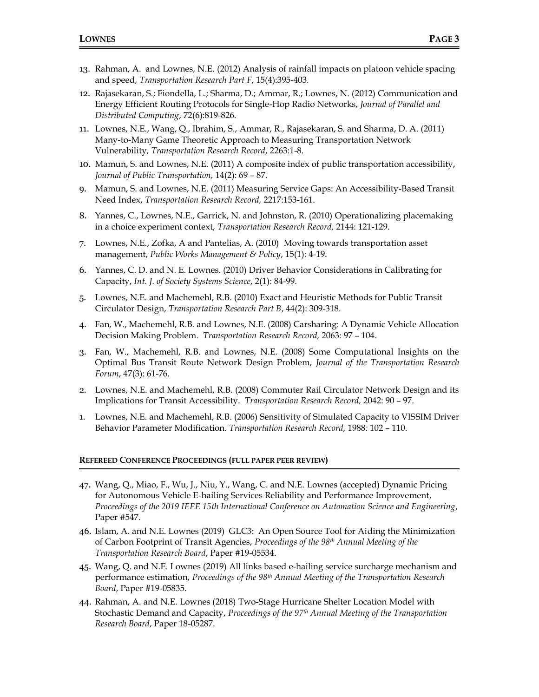- 13. Rahman, A. and Lownes, N.E. (2012) Analysis of rainfall impacts on platoon vehicle spacing and speed, *Transportation Research Part F*, 15(4):395-403*.*
- 12. Rajasekaran, S.; Fiondella, L.; Sharma, D.; Ammar, R.; Lownes, N. (2012) Communication and Energy Efficient Routing Protocols for Single-Hop Radio Networks, *Journal of Parallel and Distributed Computing*, 72(6):819-826.
- 11. Lownes, N.E., Wang, Q., Ibrahim, S., Ammar, R., Rajasekaran, S. and Sharma, D. A. (2011) Many-to-Many Game Theoretic Approach to Measuring Transportation Network Vulnerability, *Transportation Research Record*, 2263:1-8.
- 10. Mamun, S. and Lownes, N.E. (2011) A composite index of public transportation accessibility, *Journal of Public Transportation,* 14(2): 69 – 87.
- 9. Mamun, S. and Lownes, N.E. (2011) Measuring Service Gaps: An Accessibility-Based Transit Need Index, *Transportation Research Record,* 2217:153-161.
- 8. Yannes, C., Lownes, N.E., Garrick, N. and Johnston, R. (2010) Operationalizing placemaking in a choice experiment context, *Transportation Research Record,* 2144: 121-129.
- 7. Lownes, N.E., Zofka, A and Pantelias, A. (2010)Moving towards transportation asset management, *Public Works Management & Policy*, 15(1): 4-19.
- 6. Yannes, C. D. and N. E. Lownes. (2010) Driver Behavior Considerations in Calibrating for Capacity, *Int. J. of Society Systems Science*, 2(1): 84-99.
- 5. Lownes, N.E. and Machemehl, R.B. (2010) Exact and Heuristic Methods for Public Transit Circulator Design, *Transportation Research Part B*, 44(2): 309-318.
- 4. Fan, W., Machemehl, R.B. and Lownes, N.E. (2008) Carsharing: A Dynamic Vehicle Allocation Decision Making Problem. *Transportation Research Record,* 2063: 97 – 104.
- 3. Fan, W., Machemehl, R.B. and Lownes, N.E. (2008) Some Computational Insights on the Optimal Bus Transit Route Network Design Problem, *Journal of the Transportation Research Forum*, 47(3): 61-76.
- 2. Lownes, N.E. and Machemehl, R.B. (2008) Commuter Rail Circulator Network Design and its Implications for Transit Accessibility. *Transportation Research Record,* 2042: 90 – 97.
- 1. Lownes, N.E. and Machemehl, R.B. (2006) Sensitivity of Simulated Capacity to VISSIM Driver Behavior Parameter Modification. *Transportation Research Record,* 1988*:* 102 – 110.

#### **REFEREED CONFERENCE PROCEEDINGS (FULL PAPER PEER REVIEW)**

- 47. Wang, Q., Miao, F., Wu, J., Niu, Y., Wang, C. and N.E. Lownes (accepted) Dynamic Pricing for Autonomous Vehicle E-hailing Services Reliability and Performance Improvement, *Proceedings of the 2019 IEEE 15th International Conference on Automation Science and Engineering*, Paper #547.
- 46. Islam, A. and N.E. Lownes (2019) GLC3: An Open Source Tool for Aiding the Minimization of Carbon Footprint of Transit Agencies, *Proceedings of the 98th Annual Meeting of the Transportation Research Board*, Paper #19-05534.
- 45. Wang, Q. and N.E. Lownes (2019) All links based e-hailing service surcharge mechanism and performance estimation, *Proceedings of the 98th Annual Meeting of the Transportation Research Board*, Paper #19-05835.
- 44. Rahman, A. and N.E. Lownes (2018) Two-Stage Hurricane Shelter Location Model with Stochastic Demand and Capacity, *Proceedings of the 97 th Annual Meeting of the Transportation Research Board*, Paper 18-05287.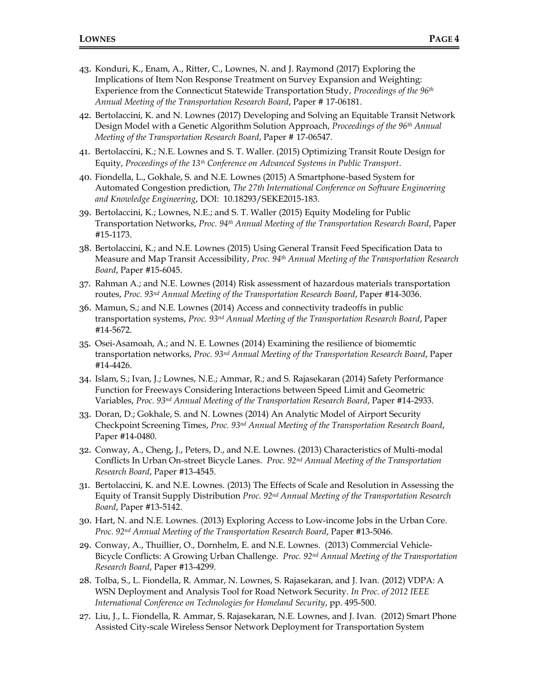- 43. Konduri, K., Enam, A., Ritter, C., Lownes, N. and J. Raymond (2017) Exploring the Implications of Item Non Response Treatment on Survey Expansion and Weighting: Experience from the Connecticut Statewide Transportation Study, *Proceedings of the 96th Annual Meeting of the Transportation Research Board*, Paper # 17-06181.
- 42. Bertolaccini, K. and N. Lownes (2017) Developing and Solving an Equitable Transit Network Design Model with a Genetic Algorithm Solution Approach, *Proceedings of the 96th Annual Meeting of the Transportation Research Board*, Paper # 17-06547.
- 41. Bertolaccini, K.; N.E. Lownes and S. T. Waller. (2015) Optimizing Transit Route Design for Equity, *Proceedings of the 13th Conference on Advanced Systems in Public Transport*.
- 40. Fiondella, L., Gokhale, S. and N.E. Lownes (2015) A Smartphone-based System for Automated Congestion prediction, *The 27th International Conference on Software Engineering and Knowledge Engineering*, DOI: 10.18293/SEKE2015-183.
- 39. Bertolaccini, K.; Lownes, N.E.; and S. T. Waller (2015) Equity Modeling for Public Transportation Networks, *Proc. 94 th Annual Meeting of the Transportation Research Board*, Paper #15-1173.
- 38. Bertolaccini, K.; and N.E. Lownes (2015) Using General Transit Feed Specification Data to Measure and Map Transit Accessibility, *Proc. 94 th Annual Meeting of the Transportation Research Board*, Paper #15-6045.
- 37. Rahman A.; and N.E. Lownes (2014) Risk assessment of hazardous materials transportation routes, *Proc. 93 nd Annual Meeting of the Transportation Research Board*, Paper #14-3036.
- 36. Mamun, S.; and N.E. Lownes (2014) Access and connectivity tradeoffs in public transportation systems, *Proc. 93 nd Annual Meeting of the Transportation Research Board*, Paper #14-5672.
- 35. Osei-Asamoah, A.; and N. E. Lownes (2014) Examining the resilience of biomemtic transportation networks, *Proc. 93 nd Annual Meeting of the Transportation Research Board*, Paper #14-4426.
- 34. Islam, S.; Ivan, J.; Lownes, N.E.; Ammar, R.; and S. Rajasekaran (2014) Safety Performance Function for Freeways Considering Interactions between Speed Limit and Geometric Variables, *Proc. 93 nd Annual Meeting of the Transportation Research Board*, Paper #14-2933.
- 33. Doran, D.; Gokhale, S. and N. Lownes (2014) An Analytic Model of Airport Security Checkpoint Screening Times, *Proc. 93 nd Annual Meeting of the Transportation Research Board*, Paper #14-0480.
- 32. Conway, A., Cheng, J., Peters, D., and N.E. Lownes. (2013) Characteristics of Multi-modal Conflicts In Urban On-street Bicycle Lanes. *Proc. 92nd Annual Meeting of the Transportation Research Board*, Paper #13-4545.
- 31. Bertolaccini, K. and N.E. Lownes. (2013) The Effects of Scale and Resolution in Assessing the Equity of Transit Supply Distribution *Proc. 92nd Annual Meeting of the Transportation Research Board*, Paper #13-5142.
- 30. Hart, N. and N.E. Lownes. (2013) Exploring Access to Low-income Jobs in the Urban Core. *Proc. 92nd Annual Meeting of the Transportation Research Board*, Paper #13-5046.
- 29. Conway, A., Thuillier, O., Dornhelm, E. and N.E. Lownes. (2013) Commercial Vehicle-Bicycle Conflicts: A Growing Urban Challenge. *Proc. 92nd Annual Meeting of the Transportation Research Board*, Paper #13-4299.
- 28. Tolba, S., L. Fiondella, R. Ammar, N. Lownes, S. Rajasekaran, and J. Ivan. (2012) VDPA: A WSN Deployment and Analysis Tool for Road Network Security. *In Proc. of 2012 IEEE International Conference on Technologies for Homeland Security*, pp. 495-500.
- 27. Liu, J., L. Fiondella, R. Ammar, S. Rajasekaran, N.E. Lownes, and J. Ivan. (2012) Smart Phone Assisted City-scale Wireless Sensor Network Deployment for Transportation System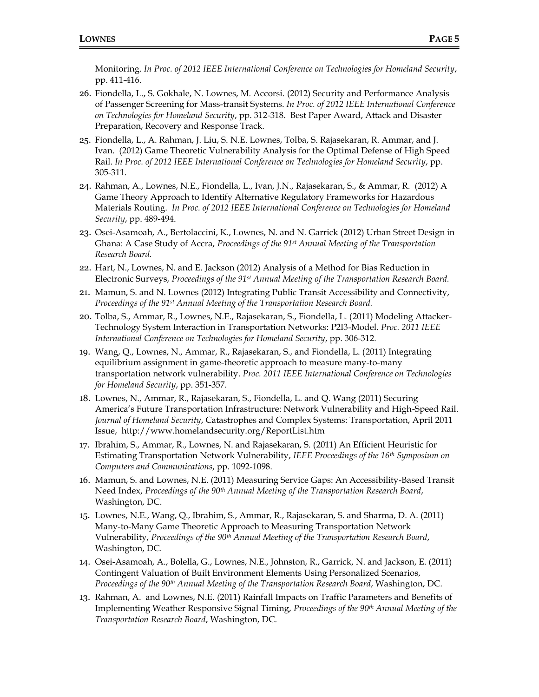Monitoring. *In Proc. of 2012 IEEE International Conference on Technologies for Homeland Security*, pp. 411-416.

- 26. Fiondella, L., S. Gokhale, N. Lownes, M. Accorsi. (2012) Security and Performance Analysis of Passenger Screening for Mass-transit Systems. *In Proc. of 2012 IEEE International Conference on Technologies for Homeland Security*, pp. 312-318. Best Paper Award, Attack and Disaster Preparation, Recovery and Response Track.
- 25. Fiondella, L., A. Rahman, J. Liu, S. N.E. Lownes, Tolba, S. Rajasekaran, R. Ammar, and J. Ivan. (2012) Game Theoretic Vulnerability Analysis for the Optimal Defense of High Speed Rail. *In Proc. of 2012 IEEE International Conference on Technologies for Homeland Security*, pp. 305-311.
- 24. Rahman, A., Lownes, N.E., Fiondella, L., Ivan, J.N., Rajasekaran, S., & Ammar, R. (2012) A Game Theory Approach to Identify Alternative Regulatory Frameworks for Hazardous Materials Routing. *In Proc. of 2012 IEEE International Conference on Technologies for Homeland Security*, pp. 489-494.
- 23. Osei-Asamoah, A., Bertolaccini, K., Lownes, N. and N. Garrick (2012) Urban Street Design in Ghana: A Case Study of Accra, *Proceedings of the 91st Annual Meeting of the Transportation Research Board.*
- 22. Hart, N., Lownes, N. and E. Jackson (2012) Analysis of a Method for Bias Reduction in Electronic Surveys, *Proceedings of the 91st Annual Meeting of the Transportation Research Board.*
- 21. Mamun, S. and N. Lownes (2012) Integrating Public Transit Accessibility and Connectivity, *Proceedings of the 91st Annual Meeting of the Transportation Research Board.*
- 20. Tolba, S., Ammar, R., Lownes, N.E., Rajasekaran, S., Fiondella, L. (2011) Modeling Attacker-Technology System Interaction in Transportation Networks: P2I3-Model. *Proc. 2011 IEEE International Conference on Technologies for Homeland Security*, pp. 306-312.
- 19. Wang, Q., Lownes, N., Ammar, R., Rajasekaran, S., and Fiondella, L. (2011) Integrating equilibrium assignment in game-theoretic approach to measure many-to-many transportation network vulnerability. *Proc. 2011 IEEE International Conference on Technologies for Homeland Security*, pp. 351-357.
- 18. Lownes, N., Ammar, R., Rajasekaran, S., Fiondella, L. and Q. Wang (2011) Securing America's Future Transportation Infrastructure: Network Vulnerability and High-Speed Rail. *Journal of Homeland Security*, Catastrophes and Complex Systems: Transportation, April 2011 Issue, http://www.homelandsecurity.org/ReportList.htm
- 17. Ibrahim, S., Ammar, R., Lownes, N. and Rajasekaran, S. (2011) An Efficient Heuristic for Estimating Transportation Network Vulnerability, *IEEE Proceedings of the 16th Symposium on Computers and Communications*, pp. 1092-1098.
- 16. Mamun, S. and Lownes, N.E. (2011) Measuring Service Gaps: An Accessibility-Based Transit Need Index, *Proceedings of the 90th Annual Meeting of the Transportation Research Board*, Washington, DC.
- 15. Lownes, N.E., Wang, Q., Ibrahim, S., Ammar, R., Rajasekaran, S. and Sharma, D. A. (2011) Many-to-Many Game Theoretic Approach to Measuring Transportation Network Vulnerability, *Proceedings of the 90th Annual Meeting of the Transportation Research Board*, Washington, DC.
- 14. Osei-Asamoah, A., Bolella, G., Lownes, N.E., Johnston, R., Garrick, N. and Jackson, E. (2011) Contingent Valuation of Built Environment Elements Using Personalized Scenarios, *Proceedings of the 90th Annual Meeting of the Transportation Research Board*, Washington, DC.
- 13. Rahman, A. and Lownes, N.E. (2011) Rainfall Impacts on Traffic Parameters and Benefits of Implementing Weather Responsive Signal Timing, *Proceedings of the 90th Annual Meeting of the Transportation Research Board*, Washington, DC.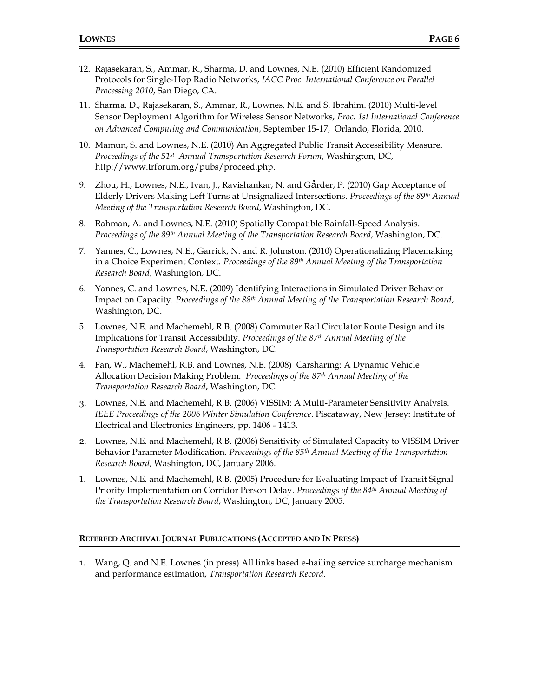- 12. Rajasekaran, S., Ammar, R., Sharma, D. and Lownes, N.E. (2010) Efficient Randomized Protocols for Single-Hop Radio Networks, *IACC Proc. International Conference on Parallel Processing 2010*, San Diego, CA.
- 11. Sharma, D., Rajasekaran, S., Ammar, R., Lownes, N.E. and S. Ibrahim. (2010) Multi-level Sensor Deployment Algorithm for Wireless Sensor Networks, *Proc. 1st International Conference on Advanced Computing and Communication*, September 15-17, Orlando, Florida, 2010.
- 10. Mamun, S. and Lownes, N.E. (2010) An Aggregated Public Transit Accessibility Measure. *Proceedings of the 51st Annual Transportation Research Forum*, Washington, DC, http://www.trforum.org/pubs/proceed.php.
- 9. Zhou, H., Lownes, N.E., Ivan, J., Ravishankar, N. and Gårder, P. (2010) Gap Acceptance of Elderly Drivers Making Left Turns at Unsignalized Intersections. *Proceedings of the 89th Annual Meeting of the Transportation Research Board*, Washington, DC.
- 8. Rahman, A. and Lownes, N.E. (2010) Spatially Compatible Rainfall-Speed Analysis. *Proceedings of the 89th Annual Meeting of the Transportation Research Board*, Washington, DC.
- 7. Yannes, C., Lownes, N.E., Garrick, N. and R. Johnston. (2010) Operationalizing Placemaking in a Choice Experiment Context. *Proceedings of the 89th Annual Meeting of the Transportation Research Board*, Washington, DC.
- 6. Yannes, C. and Lownes, N.E. (2009) Identifying Interactions in Simulated Driver Behavior Impact on Capacity. *Proceedings of the 88th Annual Meeting of the Transportation Research Board*, Washington, DC.
- 5. Lownes, N.E. and Machemehl, R.B. (2008) Commuter Rail Circulator Route Design and its Implications for Transit Accessibility. *Proceedings of the 87th Annual Meeting of the Transportation Research Board*, Washington, DC.
- 4. Fan, W., Machemehl, R.B. and Lownes, N.E. (2008) Carsharing: A Dynamic Vehicle Allocation Decision Making Problem. *Proceedings of the 87th Annual Meeting of the Transportation Research Board*, Washington, DC.
- 3. Lownes, N.E. and Machemehl, R.B. (2006) VISSIM: A Multi-Parameter Sensitivity Analysis. *IEEE Proceedings of the 2006 Winter Simulation Conference*. Piscataway, New Jersey: Institute of Electrical and Electronics Engineers, pp. 1406 - 1413.
- 2. Lownes, N.E. and Machemehl, R.B. (2006) Sensitivity of Simulated Capacity to VISSIM Driver Behavior Parameter Modification. *Proceedings of the 85th Annual Meeting of the Transportation Research Board*, Washington, DC, January 2006.
- 1. Lownes, N.E. and Machemehl, R.B. (2005) Procedure for Evaluating Impact of Transit Signal Priority Implementation on Corridor Person Delay. *Proceedings of the 84th Annual Meeting of the Transportation Research Board*, Washington, DC, January 2005.

## **REFEREED ARCHIVAL JOURNAL PUBLICATIONS (ACCEPTED AND IN PRESS)**

1. Wang, Q. and N.E. Lownes (in press) All links based e-hailing service surcharge mechanism and performance estimation, *Transportation Research Record*.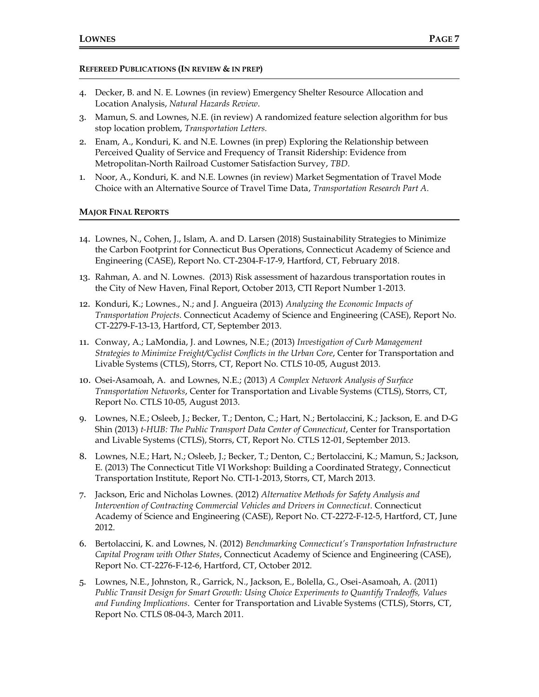## **REFEREED PUBLICATIONS (IN REVIEW & IN PREP)**

- 4. Decker, B. and N. E. Lownes (in review) Emergency Shelter Resource Allocation and Location Analysis, *Natural Hazards Review*.
- 3. Mamun, S. and Lownes, N.E. (in review) A randomized feature selection algorithm for bus stop location problem, *Transportation Letters.*
- 2. Enam, A., Konduri, K. and N.E. Lownes (in prep) Exploring the Relationship between Perceived Quality of Service and Frequency of Transit Ridership: Evidence from Metropolitan-North Railroad Customer Satisfaction Survey, *TBD.*
- 1. Noor, A., Konduri, K. and N.E. Lownes (in review) Market Segmentation of Travel Mode Choice with an Alternative Source of Travel Time Data, *Transportation Research Part A.*

## **MAJOR FINAL REPORTS**

- 14. Lownes, N., Cohen, J., Islam, A. and D. Larsen (2018) Sustainability Strategies to Minimize the Carbon Footprint for Connecticut Bus Operations, Connecticut Academy of Science and Engineering (CASE), Report No. CT-2304-F-17-9, Hartford, CT, February 2018.
- 13. Rahman, A. and N. Lownes. (2013) Risk assessment of hazardous transportation routes in the City of New Haven, Final Report, October 2013, CTI Report Number 1-2013.
- 12. Konduri, K.; Lownes., N.; and J. Angueira (2013) *Analyzing the Economic Impacts of Transportation Projects*. Connecticut Academy of Science and Engineering (CASE), Report No. CT-2279-F-13-13, Hartford, CT, September 2013.
- 11. Conway, A.; LaMondia, J. and Lownes, N.E.; (2013) *Investigation of Curb Management Strategies to Minimize Freight/Cyclist Conflicts in the Urban Core*, Center for Transportation and Livable Systems (CTLS), Storrs, CT, Report No. CTLS 10-05, August 2013.
- 10. Osei-Asamoah, A. and Lownes, N.E.; (2013) *A Complex Network Analysis of Surface Transportation Networks*, Center for Transportation and Livable Systems (CTLS), Storrs, CT, Report No. CTLS 10-05, August 2013.
- 9. Lownes, N.E.; Osleeb, J.; Becker, T.; Denton, C.; Hart, N.; Bertolaccini, K.; Jackson, E. and D-G Shin (2013) *t-HUB: The Public Transport Data Center of Connecticut*, Center for Transportation and Livable Systems (CTLS), Storrs, CT, Report No. CTLS 12-01, September 2013.
- 8. Lownes, N.E.; Hart, N.; Osleeb, J.; Becker, T.; Denton, C.; Bertolaccini, K.; Mamun, S.; Jackson, E. (2013) The Connecticut Title VI Workshop: Building a Coordinated Strategy, Connecticut Transportation Institute, Report No. CTI-1-2013, Storrs, CT, March 2013.
- 7. Jackson, Eric and Nicholas Lownes. (2012) *Alternative Methods for Safety Analysis and Intervention of Contracting Commercial Vehicles and Drivers in Connecticut*. Connecticut Academy of Science and Engineering (CASE), Report No. CT-2272-F-12-5, Hartford, CT, June 2012.
- 6. Bertolaccini, K. and Lownes, N. (2012) *Benchmarking Connecticut's Transportation Infrastructure Capital Program with Other States*, Connecticut Academy of Science and Engineering (CASE), Report No. CT-2276-F-12-6, Hartford, CT, October 2012.
- 5. Lownes, N.E., Johnston, R., Garrick, N., Jackson, E., Bolella, G., Osei-Asamoah, A. (2011) *Public Transit Design for Smart Growth: Using Choice Experiments to Quantify Tradeoffs, Values and Funding Implications*. Center for Transportation and Livable Systems (CTLS), Storrs, CT, Report No. CTLS 08-04-3, March 2011.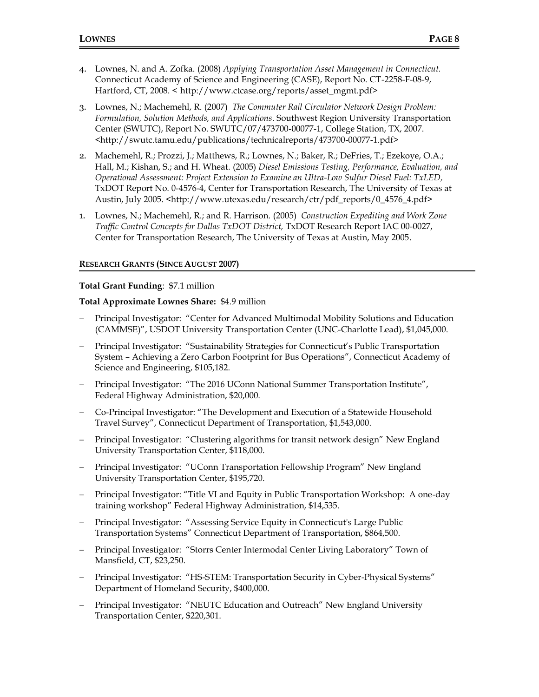- 4. Lownes, N. and A. Zofka. (2008) *Applying Transportation Asset Management in Connecticut.* Connecticut Academy of Science and Engineering (CASE), Report No. CT-2258-F-08-9, Hartford, CT, 2008. < http://www.ctcase.org/reports/asset\_mgmt.pdf>
- 3. Lownes, N.; Machemehl, R. (2007) *The Commuter Rail Circulator Network Design Problem: Formulation, Solution Methods, and Applications*. Southwest Region University Transportation Center (SWUTC), Report No. SWUTC/07/473700-00077-1, College Station, TX, 2007. <http://swutc.tamu.edu/publications/technicalreports/473700-00077-1.pdf>
- 2. Machemehl, R.; Prozzi, J.; Matthews, R.; Lownes, N.; Baker, R.; DeFries, T.; Ezekoye, O.A.; Hall, M.; Kishan, S.; and H. Wheat. (2005) *Diesel Emissions Testing, Performance, Evaluation, and Operational Assessment: Project Extension to Examine an Ultra-Low Sulfur Diesel Fuel: TxLED,* TxDOT Report No. 0-4576-4, Center for Transportation Research, The University of Texas at Austin, July 2005. <http://www.utexas.edu/research/ctr/pdf\_reports/0\_4576\_4.pdf>
- 1. Lownes, N.; Machemehl, R.; and R. Harrison. (2005) *Construction Expediting and Work Zone Traffic Control Concepts for Dallas TxDOT District,* TxDOT Research Report IAC 00-0027, Center for Transportation Research, The University of Texas at Austin, May 2005.

# **RESEARCH GRANTS (SINCE AUGUST 2007)**

# **Total Grant Funding**: \$7.1 million

# **Total Approximate Lownes Share:** \$4.9 million

- − Principal Investigator: "Center for Advanced Multimodal Mobility Solutions and Education (CAMMSE)", USDOT University Transportation Center (UNC-Charlotte Lead), \$1,045,000.
- − Principal Investigator: "Sustainability Strategies for Connecticut's Public Transportation System – Achieving a Zero Carbon Footprint for Bus Operations", Connecticut Academy of Science and Engineering, \$105,182.
- − Principal Investigator: "The 2016 UConn National Summer Transportation Institute", Federal Highway Administration, \$20,000.
- − Co-Principal Investigator: "The Development and Execution of a Statewide Household Travel Survey", Connecticut Department of Transportation, \$1,543,000.
- − Principal Investigator: "Clustering algorithms for transit network design" New England University Transportation Center, \$118,000.
- − Principal Investigator: "UConn Transportation Fellowship Program" New England University Transportation Center, \$195,720.
- − Principal Investigator: "Title VI and Equity in Public Transportation Workshop: A one-day training workshop" Federal Highway Administration, \$14,535.
- − Principal Investigator: "Assessing Service Equity in Connecticut's Large Public Transportation Systems" Connecticut Department of Transportation, \$864,500.
- Principal Investigator: "Storrs Center Intermodal Center Living Laboratory" Town of Mansfield, CT, \$23,250.
- − Principal Investigator: "HS-STEM: Transportation Security in Cyber-Physical Systems" Department of Homeland Security, \$400,000.
- Principal Investigator: "NEUTC Education and Outreach" New England University Transportation Center, \$220,301.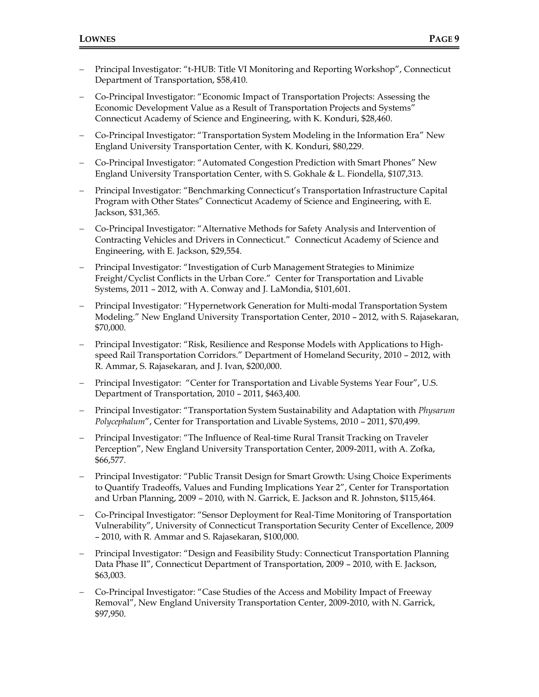- − Principal Investigator: "t-HUB: Title VI Monitoring and Reporting Workshop", Connecticut Department of Transportation, \$58,410.
- − Co-Principal Investigator: "Economic Impact of Transportation Projects: Assessing the Economic Development Value as a Result of Transportation Projects and Systems" Connecticut Academy of Science and Engineering, with K. Konduri, \$28,460.
- − Co-Principal Investigator: "Transportation System Modeling in the Information Era" New England University Transportation Center, with K. Konduri, \$80,229.
- − Co-Principal Investigator: "Automated Congestion Prediction with Smart Phones" New England University Transportation Center, with S. Gokhale & L. Fiondella, \$107,313.
- − Principal Investigator: "Benchmarking Connecticut's Transportation Infrastructure Capital Program with Other States" Connecticut Academy of Science and Engineering, with E. Jackson, \$31,365.
- − Co-Principal Investigator: "Alternative Methods for Safety Analysis and Intervention of Contracting Vehicles and Drivers in Connecticut." Connecticut Academy of Science and Engineering, with E. Jackson, \$29,554.
- − Principal Investigator: "Investigation of Curb Management Strategies to Minimize Freight/Cyclist Conflicts in the Urban Core." Center for Transportation and Livable Systems, 2011 – 2012, with A. Conway and J. LaMondia, \$101,601.
- − Principal Investigator: "Hypernetwork Generation for Multi-modal Transportation System Modeling." New England University Transportation Center, 2010 – 2012, with S. Rajasekaran, \$70,000.
- − Principal Investigator: "Risk, Resilience and Response Models with Applications to Highspeed Rail Transportation Corridors." Department of Homeland Security, 2010 – 2012, with R. Ammar, S. Rajasekaran, and J. Ivan, \$200,000.
- − Principal Investigator: "Center for Transportation and Livable Systems Year Four", U.S. Department of Transportation, 2010 – 2011, \$463,400.
- − Principal Investigator: "Transportation System Sustainability and Adaptation with *Physarum Polycephalum*", Center for Transportation and Livable Systems, 2010 – 2011, \$70,499.
- − Principal Investigator: "The Influence of Real-time Rural Transit Tracking on Traveler Perception", New England University Transportation Center, 2009-2011, with A. Zofka, \$66,577.
- − Principal Investigator: "Public Transit Design for Smart Growth: Using Choice Experiments to Quantify Tradeoffs, Values and Funding Implications Year 2", Center for Transportation and Urban Planning, 2009 – 2010, with N. Garrick, E. Jackson and R. Johnston, \$115,464.
- − Co-Principal Investigator: "Sensor Deployment for Real-Time Monitoring of Transportation Vulnerability", University of Connecticut Transportation Security Center of Excellence, 2009 – 2010, with R. Ammar and S. Rajasekaran, \$100,000.
- − Principal Investigator: "Design and Feasibility Study: Connecticut Transportation Planning Data Phase II", Connecticut Department of Transportation, 2009 – 2010, with E. Jackson, \$63,003.
- − Co-Principal Investigator: "Case Studies of the Access and Mobility Impact of Freeway Removal", New England University Transportation Center, 2009-2010, with N. Garrick, \$97,950.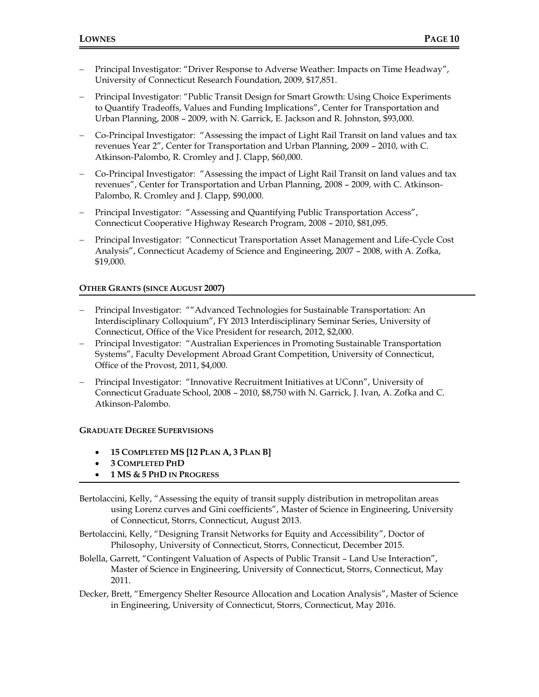- − Principal Investigator: "Driver Response to Adverse Weather: Impacts on Time Headway", University of Connecticut Research Foundation, 2009, \$17,851.
- − Principal Investigator: "Public Transit Design for Smart Growth: Using Choice Experiments to Quantify Tradeoffs, Values and Funding Implications", Center for Transportation and Urban Planning, 2008 – 2009, with N. Garrick, E. Jackson and R. Johnston, \$93,000.
- − Co-Principal Investigator: "Assessing the impact of Light Rail Transit on land values and tax revenues Year 2", Center for Transportation and Urban Planning, 2009 – 2010, with C. Atkinson-Palombo, R. Cromley and J. Clapp, \$60,000.
- − Co-Principal Investigator: "Assessing the impact of Light Rail Transit on land values and tax revenues", Center for Transportation and Urban Planning, 2008 – 2009, with C. Atkinson-Palombo, R. Cromley and J. Clapp, \$90,000.
- Principal Investigator: "Assessing and Quantifying Public Transportation Access", Connecticut Cooperative Highway Research Program, 2008 – 2010, \$81,095.
- − Principal Investigator: "Connecticut Transportation Asset Management and Life-Cycle Cost Analysis", Connecticut Academy of Science and Engineering, 2007 – 2008, with A. Zofka, \$19,000.

# **OTHER GRANTS (SINCE AUGUST 2007)**

- − Principal Investigator: ""Advanced Technologies for Sustainable Transportation: An Interdisciplinary Colloquium", FY 2013 Interdisciplinary Seminar Series, University of Connecticut, Office of the Vice President for research, 2012, \$2,000.
- − Principal Investigator: "Australian Experiences in Promoting Sustainable Transportation Systems", Faculty Development Abroad Grant Competition, University of Connecticut, Office of the Provost, 2011, \$4,000.
- − Principal Investigator: "Innovative Recruitment Initiatives at UConn", University of Connecticut Graduate School, 2008 – 2010, \$8,750 with N. Garrick, J. Ivan, A. Zofka and C. Atkinson-Palombo.

## **GRADUATE DEGREE SUPERVISIONS**

- **15 COMPLETED MS [12 PLAN A, 3 PLAN B]**
- **3 COMPLETED PHD**
- **1 MS & 5 PHD IN PROGRESS**
- Bertolaccini, Kelly, "Assessing the equity of transit supply distribution in metropolitan areas using Lorenz curves and Gini coefficients", Master of Science in Engineering, University of Connecticut, Storrs, Connecticut, August 2013.
- Bertolaccini, Kelly, "Designing Transit Networks for Equity and Accessibility", Doctor of Philosophy, University of Connecticut, Storrs, Connecticut, December 2015.
- Bolella, Garrett, "Contingent Valuation of Aspects of Public Transit Land Use Interaction", Master of Science in Engineering, University of Connecticut, Storrs, Connecticut, May 2011.
- Decker, Brett, "Emergency Shelter Resource Allocation and Location Analysis", Master of Science in Engineering, University of Connecticut, Storrs, Connecticut, May 2016.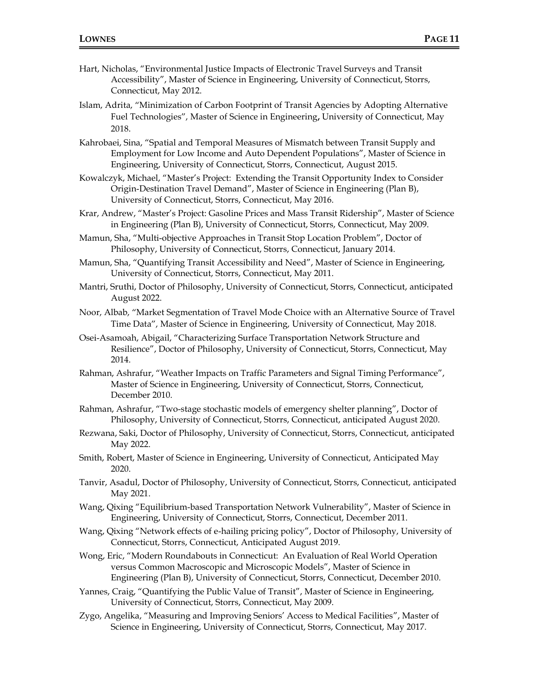- Hart, Nicholas, "Environmental Justice Impacts of Electronic Travel Surveys and Transit Accessibility", Master of Science in Engineering, University of Connecticut, Storrs, Connecticut, May 2012.
- Islam, Adrita, "Minimization of Carbon Footprint of Transit Agencies by Adopting Alternative Fuel Technologies", Master of Science in Engineering**,** University of Connecticut, May 2018.
- Kahrobaei, Sina, "Spatial and Temporal Measures of Mismatch between Transit Supply and Employment for Low Income and Auto Dependent Populations", Master of Science in Engineering, University of Connecticut, Storrs, Connecticut, August 2015.
- Kowalczyk, Michael, "Master's Project: Extending the Transit Opportunity Index to Consider Origin-Destination Travel Demand", Master of Science in Engineering (Plan B), University of Connecticut, Storrs, Connecticut, May 2016.
- Krar, Andrew, "Master's Project: Gasoline Prices and Mass Transit Ridership", Master of Science in Engineering (Plan B), University of Connecticut, Storrs, Connecticut, May 2009.
- Mamun, Sha, "Multi-objective Approaches in Transit Stop Location Problem", Doctor of Philosophy, University of Connecticut, Storrs, Connecticut, January 2014.
- Mamun, Sha, "Quantifying Transit Accessibility and Need", Master of Science in Engineering, University of Connecticut, Storrs, Connecticut, May 2011.
- Mantri, Sruthi, Doctor of Philosophy, University of Connecticut, Storrs, Connecticut, anticipated August 2022.
- Noor, Albab, "Market Segmentation of Travel Mode Choice with an Alternative Source of Travel Time Data", Master of Science in Engineering, University of Connecticut, May 2018.
- Osei-Asamoah, Abigail, "Characterizing Surface Transportation Network Structure and Resilience", Doctor of Philosophy, University of Connecticut, Storrs, Connecticut, May 2014.
- Rahman, Ashrafur, "Weather Impacts on Traffic Parameters and Signal Timing Performance", Master of Science in Engineering, University of Connecticut, Storrs, Connecticut, December 2010.
- Rahman, Ashrafur, "Two-stage stochastic models of emergency shelter planning", Doctor of Philosophy, University of Connecticut, Storrs, Connecticut, anticipated August 2020.
- Rezwana, Saki, Doctor of Philosophy, University of Connecticut, Storrs, Connecticut, anticipated May 2022.
- Smith, Robert, Master of Science in Engineering, University of Connecticut, Anticipated May 2020.
- Tanvir, Asadul, Doctor of Philosophy, University of Connecticut, Storrs, Connecticut, anticipated May 2021.
- Wang, Qixing "Equilibrium-based Transportation Network Vulnerability", Master of Science in Engineering, University of Connecticut, Storrs, Connecticut, December 2011.
- Wang, Qixing "Network effects of e-hailing pricing policy", Doctor of Philosophy, University of Connecticut, Storrs, Connecticut, Anticipated August 2019.
- Wong, Eric, "Modern Roundabouts in Connecticut: An Evaluation of Real World Operation versus Common Macroscopic and Microscopic Models", Master of Science in Engineering (Plan B), University of Connecticut, Storrs, Connecticut, December 2010.
- Yannes, Craig, "Quantifying the Public Value of Transit", Master of Science in Engineering, University of Connecticut, Storrs, Connecticut, May 2009.
- Zygo, Angelika, "Measuring and Improving Seniors' Access to Medical Facilities", Master of Science in Engineering, University of Connecticut, Storrs, Connecticut, May 2017.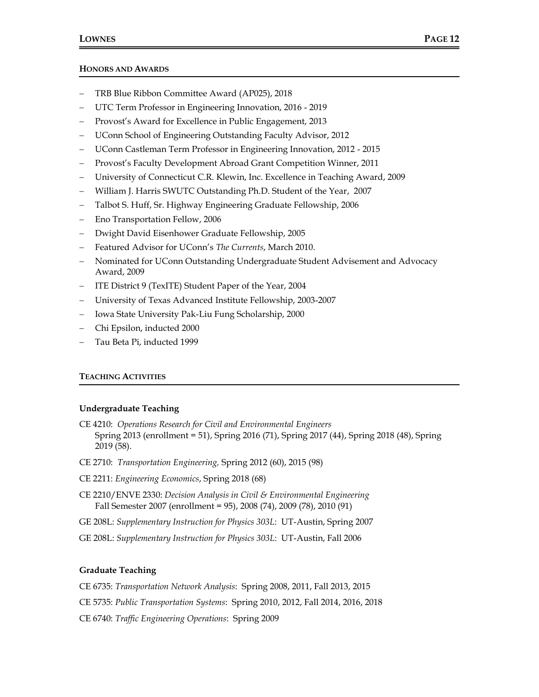#### **HONORS AND AWARDS**

- − TRB Blue Ribbon Committee Award (AP025), 2018
- − UTC Term Professor in Engineering Innovation, 2016 2019
- Provost's Award for Excellence in Public Engagement, 2013
- − UConn School of Engineering Outstanding Faculty Advisor, 2012
- − UConn Castleman Term Professor in Engineering Innovation, 2012 2015
- − Provost's Faculty Development Abroad Grant Competition Winner, 2011
- − University of Connecticut C.R. Klewin, Inc. Excellence in Teaching Award, 2009
- − William J. Harris SWUTC Outstanding Ph.D. Student of the Year, 2007
- − Talbot S. Huff, Sr. Highway Engineering Graduate Fellowship, 2006
- − Eno Transportation Fellow, 2006
- − Dwight David Eisenhower Graduate Fellowship, 2005
- − Featured Advisor for UConn's *The Currents*, March 2010.
- − Nominated for UConn Outstanding Undergraduate Student Advisement and Advocacy Award, 2009
- − ITE District 9 (TexITE) Student Paper of the Year, 2004
- − University of Texas Advanced Institute Fellowship, 2003-2007
- − Iowa State University Pak-Liu Fung Scholarship, 2000
- − Chi Epsilon, inducted 2000
- − Tau Beta Pi, inducted 1999

## **TEACHING ACTIVITIES**

#### **Undergraduate Teaching**

- CE 4210: *Operations Research for Civil and Environmental Engineers* Spring 2013 (enrollment = 51), Spring 2016 (71), Spring 2017 (44), Spring 2018 (48), Spring 2019 (58).
- CE 2710: *Transportation Engineering,* Spring 2012 (60), 2015 (98)
- CE 2211: *Engineering Economics*, Spring 2018 (68)
- CE 2210/ENVE 2330: *Decision Analysis in Civil & Environmental Engineering* Fall Semester 2007 (enrollment = 95), 2008 (74), 2009 (78), 2010 (91)
- GE 208L: *Supplementary Instruction for Physics 303L*: UT-Austin, Spring 2007
- GE 208L: *Supplementary Instruction for Physics 303L*: UT-Austin, Fall 2006

## **Graduate Teaching**

CE 6735: *Transportation Network Analysis*: Spring 2008, 2011, Fall 2013, 2015

CE 5735: *Public Transportation Systems*: Spring 2010, 2012, Fall 2014, 2016, 2018

CE 6740: *Traffic Engineering Operations*: Spring 2009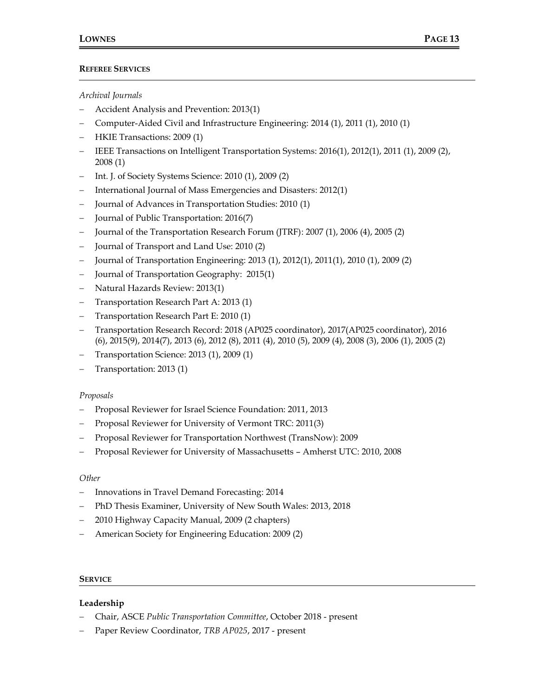# **REFEREE SERVICES**

# *Archival Journals*

- − Accident Analysis and Prevention: 2013(1)
- − Computer-Aided Civil and Infrastructure Engineering: 2014 (1), 2011 (1), 2010 (1)
- − HKIE Transactions: 2009 (1)
- − IEEE Transactions on Intelligent Transportation Systems: 2016(1), 2012(1), 2011 (1), 2009 (2), 2008 (1)
- − Int. J. of Society Systems Science: 2010 (1), 2009 (2)
- − International Journal of Mass Emergencies and Disasters: 2012(1)
- − Journal of Advances in Transportation Studies: 2010 (1)
- − Journal of Public Transportation: 2016(7)
- − Journal of the Transportation Research Forum (JTRF): 2007 (1), 2006 (4), 2005 (2)
- − Journal of Transport and Land Use: 2010 (2)
- − Journal of Transportation Engineering: 2013 (1), 2012(1), 2011(1), 2010 (1), 2009 (2)
- − Journal of Transportation Geography: 2015(1)
- − Natural Hazards Review: 2013(1)
- − Transportation Research Part A: 2013 (1)
- − Transportation Research Part E: 2010 (1)
- − Transportation Research Record: 2018 (AP025 coordinator), 2017(AP025 coordinator), 2016 (6), 2015(9), 2014(7), 2013 (6), 2012 (8), 2011 (4), 2010 (5), 2009 (4), 2008 (3), 2006 (1), 2005 (2)
- − Transportation Science: 2013 (1), 2009 (1)
- Transportation: 2013 (1)

## *Proposals*

- − Proposal Reviewer for Israel Science Foundation: 2011, 2013
- Proposal Reviewer for University of Vermont TRC: 2011(3)
- − Proposal Reviewer for Transportation Northwest (TransNow): 2009
- − Proposal Reviewer for University of Massachusetts Amherst UTC: 2010, 2008

## *Other*

- − Innovations in Travel Demand Forecasting: 2014
- − PhD Thesis Examiner, University of New South Wales: 2013, 2018
- − 2010 Highway Capacity Manual, 2009 (2 chapters)
- − American Society for Engineering Education: 2009 (2)

#### **SERVICE**

## **Leadership**

- − Chair, ASCE *Public Transportation Committee*, October 2018 present
- − Paper Review Coordinator, *TRB AP025*, 2017 present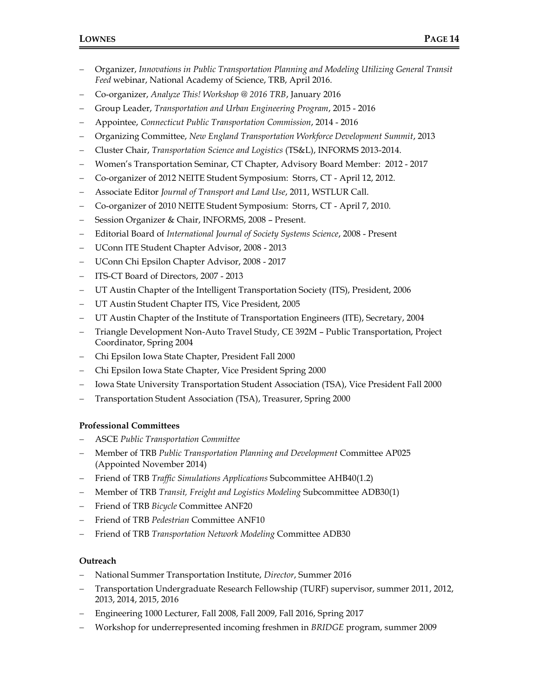- − Organizer, *Innovations in Public Transportation Planning and Modeling Utilizing General Transit Feed* webinar, National Academy of Science, TRB, April 2016.
- − Co-organizer, *Analyze This! Workshop @ 2016 TRB*, January 2016
- − Group Leader, *Transportation and Urban Engineering Program*, 2015 2016
- − Appointee, *Connecticut Public Transportation Commission*, 2014 2016
- − Organizing Committee, *New England Transportation Workforce Development Summit*, 2013
- − Cluster Chair, *Transportation Science and Logistics* (TS&L), INFORMS 2013-2014.
- − Women's Transportation Seminar, CT Chapter, Advisory Board Member: 2012 2017
- − Co-organizer of 2012 NEITE Student Symposium: Storrs, CT April 12, 2012.
- − Associate Editor *Journal of Transport and Land Use*, 2011, WSTLUR Call.
- − Co-organizer of 2010 NEITE Student Symposium: Storrs, CT April 7, 2010.
- − Session Organizer & Chair, INFORMS, 2008 Present.
- − Editorial Board of *International Journal of Society Systems Science*, 2008 Present
- − UConn ITE Student Chapter Advisor, 2008 2013
- − UConn Chi Epsilon Chapter Advisor, 2008 2017
- − ITS-CT Board of Directors, 2007 2013
- UT Austin Chapter of the Intelligent Transportation Society (ITS), President, 2006
- − UT Austin Student Chapter ITS, Vice President, 2005
- UT Austin Chapter of the Institute of Transportation Engineers (ITE), Secretary, 2004
- − Triangle Development Non-Auto Travel Study, CE 392M Public Transportation, Project Coordinator, Spring 2004
- − Chi Epsilon Iowa State Chapter, President Fall 2000
- − Chi Epsilon Iowa State Chapter, Vice President Spring 2000
- − Iowa State University Transportation Student Association (TSA), Vice President Fall 2000
- − Transportation Student Association (TSA), Treasurer, Spring 2000

## **Professional Committees**

- − ASCE *Public Transportation Committee*
- − Member of TRB *Public Transportation Planning and Development* Committee AP025 (Appointed November 2014)
- − Friend of TRB *Traffic Simulations Applications* Subcommittee AHB40(1.2)
- − Member of TRB *Transit, Freight and Logistics Modeling* Subcommittee ADB30(1)
- − Friend of TRB *Bicycle* Committee ANF20
- − Friend of TRB *Pedestrian* Committee ANF10
- − Friend of TRB *Transportation Network Modeling* Committee ADB30

## **Outreach**

- − National Summer Transportation Institute, *Director*, Summer 2016
- − Transportation Undergraduate Research Fellowship (TURF) supervisor, summer 2011, 2012, 2013, 2014, 2015, 2016
- − Engineering 1000 Lecturer, Fall 2008, Fall 2009, Fall 2016, Spring 2017
- − Workshop for underrepresented incoming freshmen in *BRIDGE* program, summer 2009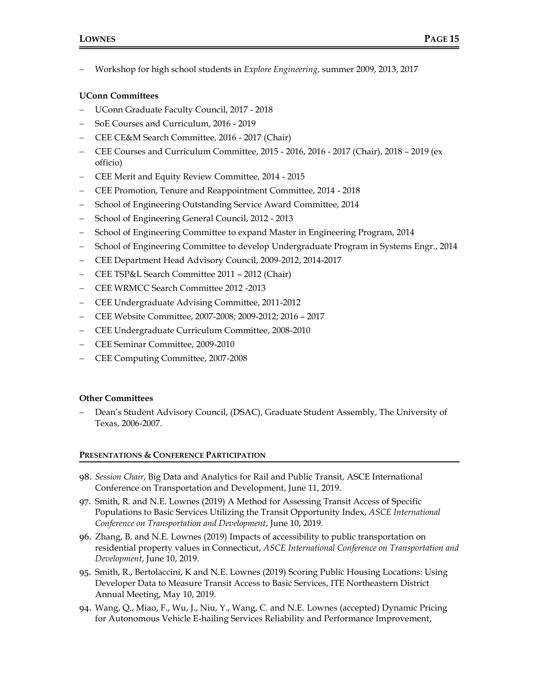− Workshop for high school students in *Explore Engineering*, summer 2009, 2013, 2017

# **UConn Committees**

- − UConn Graduate Faculty Council, 2017 2018
- − SoE Courses and Curriculum, 2016 2019
- − CEE CE&M Search Committee, 2016 2017 (Chair)
- − CEE Courses and Curriculum Committee, 2015 2016, 2016 2017 (Chair), 2018 2019 (ex officio)
- − CEE Merit and Equity Review Committee, 2014 2015
- − CEE Promotion, Tenure and Reappointment Committee, 2014 2018
- − School of Engineering Outstanding Service Award Committee, 2014
- − School of Engineering General Council, 2012 2013
- − School of Engineering Committee to expand Master in Engineering Program, 2014
- − School of Engineering Committee to develop Undergraduate Program in Systems Engr., 2014
- − CEE Department Head Advisory Council, 2009-2012, 2014-2017
- − CEE TSP&L Search Committee 2011 2012 (Chair)
- − CEE WRMCC Search Committee 2012 -2013
- − CEE Undergraduate Advising Committee, 2011-2012
- − CEE Website Committee, 2007-2008; 2009-2012; 2016 2017
- − CEE Undergraduate Curriculum Committee, 2008-2010
- − CEE Seminar Committee, 2009-2010
- − CEE Computing Committee, 2007-2008

## **Other Committees**

− Dean's Student Advisory Council, (DSAC), Graduate Student Assembly, The University of Texas, 2006-2007.

## **PRESENTATIONS & CONFERENCE PARTICIPATION**

- 98. *Session Chair*, Big Data and Analytics for Rail and Public Transit, ASCE International Conference on Transportation and Development, June 11, 2019.
- 97. Smith, R. and N.E. Lownes (2019) A Method for Assessing Transit Access of Specific Populations to Basic Services Utilizing the Transit Opportunity Index, *ASCE International Conference on Transportation and Development*, June 10, 2019.
- 96. Zhang, B. and N.E. Lownes (2019) Impacts of accessibility to public transportation on residential property values in Connecticut, *ASCE International Conference on Transportation and Development*, June 10, 2019.
- 95. Smith, R., Bertolaccini, K and N.E. Lownes (2019) Scoring Public Housing Locations: Using Developer Data to Measure Transit Access to Basic Services, ITE Northeastern District Annual Meeting, May 10, 2019.
- 94. Wang, Q., Miao, F., Wu, J., Niu, Y., Wang, C. and N.E. Lownes (accepted) Dynamic Pricing for Autonomous Vehicle E-hailing Services Reliability and Performance Improvement,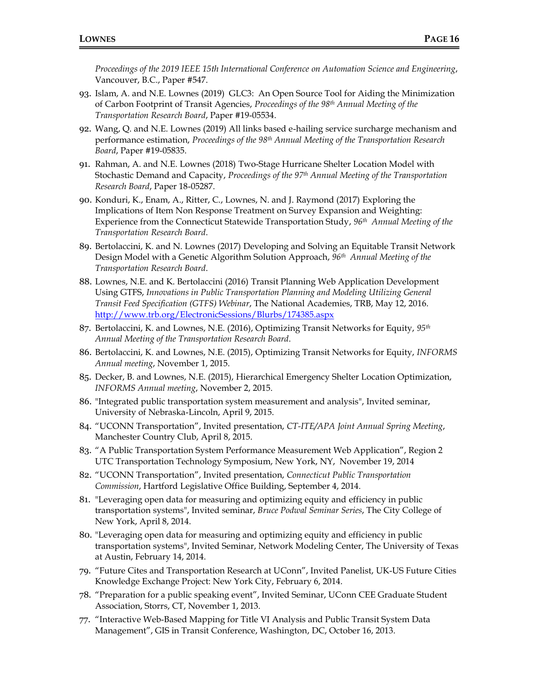*Proceedings of the 2019 IEEE 15th International Conference on Automation Science and Engineering*, Vancouver, B.C., Paper #547.

- 93. Islam, A. and N.E. Lownes (2019) GLC3: An Open Source Tool for Aiding the Minimization of Carbon Footprint of Transit Agencies, *Proceedings of the 98th Annual Meeting of the Transportation Research Board*, Paper #19-05534.
- 92. Wang, Q. and N.E. Lownes (2019) All links based e-hailing service surcharge mechanism and performance estimation, *Proceedings of the 98th Annual Meeting of the Transportation Research Board*, Paper #19-05835.
- 91. Rahman, A. and N.E. Lownes (2018) Two-Stage Hurricane Shelter Location Model with Stochastic Demand and Capacity, *Proceedings of the 97th Annual Meeting of the Transportation Research Board*, Paper 18-05287.
- 90. Konduri, K., Enam, A., Ritter, C., Lownes, N. and J. Raymond (2017) Exploring the Implications of Item Non Response Treatment on Survey Expansion and Weighting: Experience from the Connecticut Statewide Transportation Study, *96 th Annual Meeting of the Transportation Research Board*.
- 89. Bertolaccini, K. and N. Lownes (2017) Developing and Solving an Equitable Transit Network Design Model with a Genetic Algorithm Solution Approach, *96 th Annual Meeting of the Transportation Research Board*.
- 88. Lownes, N.E. and K. Bertolaccini (2016) Transit Planning Web Application Development Using GTFS, *Innovations in Public Transportation Planning and Modeling Utilizing General Transit Feed Specification (GTFS) Webinar*, The National Academies, TRB, May 12, 2016. <http://www.trb.org/ElectronicSessions/Blurbs/174385.aspx>
- 87. Bertolaccini, K. and Lownes, N.E. (2016), Optimizing Transit Networks for Equity, 95<sup>th</sup> *Annual Meeting of the Transportation Research Board*.
- 86. Bertolaccini, K. and Lownes, N.E. (2015), Optimizing Transit Networks for Equity, *INFORMS Annual meeting*, November 1, 2015.
- 85. Decker, B. and Lownes, N.E. (2015), Hierarchical Emergency Shelter Location Optimization, *INFORMS Annual meeting*, November 2, 2015.
- 86. "Integrated public transportation system measurement and analysis", Invited seminar, University of Nebraska-Lincoln, April 9, 2015.
- 84. "UCONN Transportation", Invited presentation, *CT-ITE/APA Joint Annual Spring Meeting*, Manchester Country Club, April 8, 2015.
- 83. "A Public Transportation System Performance Measurement Web Application", Region 2 UTC Transportation Technology Symposium, New York, NY, November 19, 2014
- 82. "UCONN Transportation", Invited presentation, *Connecticut Public Transportation Commission*, Hartford Legislative Office Building, September 4, 2014.
- 81. "Leveraging open data for measuring and optimizing equity and efficiency in public transportation systems", Invited seminar, *Bruce Podwal Seminar Series*, The City College of New York, April 8, 2014.
- 80. "Leveraging open data for measuring and optimizing equity and efficiency in public transportation systems", Invited Seminar, Network Modeling Center, The University of Texas at Austin, February 14, 2014.
- 79. "Future Cites and Transportation Research at UConn", Invited Panelist, UK-US Future Cities Knowledge Exchange Project: New York City, February 6, 2014.
- 78. "Preparation for a public speaking event", Invited Seminar, UConn CEE Graduate Student Association, Storrs, CT, November 1, 2013.
- 77. "Interactive Web-Based Mapping for Title VI Analysis and Public Transit System Data Management", GIS in Transit Conference, Washington, DC, October 16, 2013.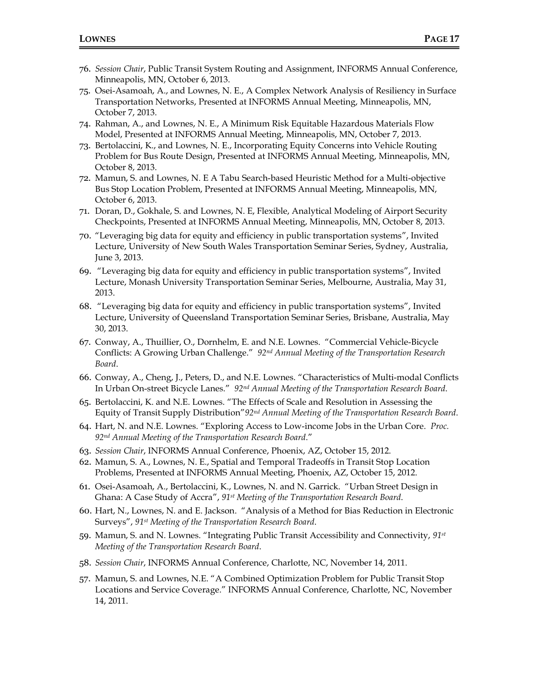- 76. *Session Chair*, Public Transit System Routing and Assignment, INFORMS Annual Conference, Minneapolis, MN, October 6, 2013.
- 75. Osei-Asamoah, A., and Lownes, N. E., A Complex Network Analysis of Resiliency in Surface Transportation Networks, Presented at INFORMS Annual Meeting, Minneapolis, MN, October 7, 2013.
- 74. Rahman, A., and Lownes, N. E., A Minimum Risk Equitable Hazardous Materials Flow Model, Presented at INFORMS Annual Meeting, Minneapolis, MN, October 7, 2013.
- 73. Bertolaccini, K., and Lownes, N. E., Incorporating Equity Concerns into Vehicle Routing Problem for Bus Route Design, Presented at INFORMS Annual Meeting, Minneapolis, MN, October 8, 2013.
- 72. Mamun, S. and Lownes, N. E A Tabu Search-based Heuristic Method for a Multi-objective Bus Stop Location Problem, Presented at INFORMS Annual Meeting, Minneapolis, MN, October 6, 2013.
- 71. Doran, D., Gokhale, S. and Lownes, N. E, Flexible, Analytical Modeling of Airport Security Checkpoints, Presented at INFORMS Annual Meeting, Minneapolis, MN, October 8, 2013.
- 70. "Leveraging big data for equity and efficiency in public transportation systems", Invited Lecture, University of New South Wales Transportation Seminar Series, Sydney, Australia, June 3, 2013.
- 69. "Leveraging big data for equity and efficiency in public transportation systems", Invited Lecture, Monash University Transportation Seminar Series, Melbourne, Australia, May 31, 2013.
- 68. "Leveraging big data for equity and efficiency in public transportation systems", Invited Lecture, University of Queensland Transportation Seminar Series, Brisbane, Australia, May 30, 2013.
- 67. Conway, A., Thuillier, O., Dornhelm, E. and N.E. Lownes. "Commercial Vehicle-Bicycle Conflicts: A Growing Urban Challenge." *92nd Annual Meeting of the Transportation Research Board*.
- 66. Conway, A., Cheng, J., Peters, D., and N.E. Lownes. "Characteristics of Multi-modal Conflicts In Urban On-street Bicycle Lanes." *92nd Annual Meeting of the Transportation Research Board*.
- 65. Bertolaccini, K. and N.E. Lownes. "The Effects of Scale and Resolution in Assessing the Equity of Transit Supply Distribution"*92nd Annual Meeting of the Transportation Research Board*.
- 64. Hart, N. and N.E. Lownes. "Exploring Access to Low-income Jobs in the Urban Core. *Proc. 92nd Annual Meeting of the Transportation Research Board*."
- 63. *Session Chair*, INFORMS Annual Conference, Phoenix, AZ, October 15, 2012.
- 62. Mamun, S. A., Lownes, N. E., Spatial and Temporal Tradeoffs in Transit Stop Location Problems, Presented at INFORMS Annual Meeting, Phoenix, AZ, October 15, 2012.
- 61. Osei-Asamoah, A., Bertolaccini, K., Lownes, N. and N. Garrick. "Urban Street Design in Ghana: A Case Study of Accra", *91st Meeting of the Transportation Research Board*.
- 60. Hart, N., Lownes, N. and E. Jackson. "Analysis of a Method for Bias Reduction in Electronic Surveys", *91st Meeting of the Transportation Research Board*.
- 59. Mamun, S. and N. Lownes. "Integrating Public Transit Accessibility and Connectivity, *91st Meeting of the Transportation Research Board*.
- 58. *Session Chair*, INFORMS Annual Conference, Charlotte, NC, November 14, 2011.
- 57. Mamun, S. and Lownes, N.E. "A Combined Optimization Problem for Public Transit Stop Locations and Service Coverage." INFORMS Annual Conference, Charlotte, NC, November 14, 2011.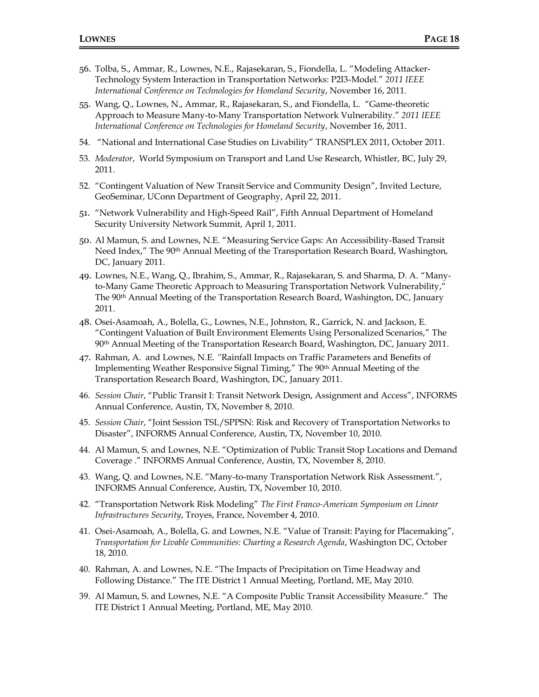- 56. Tolba, S., Ammar, R., Lownes, N.E., Rajasekaran, S., Fiondella, L. "Modeling Attacker-Technology System Interaction in Transportation Networks: P2I3-Model." *2011 IEEE International Conference on Technologies for Homeland Security*, November 16, 2011*.*
- 55. Wang, Q., Lownes, N., Ammar, R., Rajasekaran, S., and Fiondella, L. "Game-theoretic Approach to Measure Many-to-Many Transportation Network Vulnerability." *2011 IEEE International Conference on Technologies for Homeland Security*, November 16, 2011.
- 54. "National and International Case Studies on Livability" TRANSPLEX 2011, October 2011.
- 53. *Moderator*, World Symposium on Transport and Land Use Research, Whistler, BC, July 29, 2011.
- 52. "Contingent Valuation of New Transit Service and Community Design", Invited Lecture, GeoSeminar, UConn Department of Geography, April 22, 2011.
- 51. "Network Vulnerability and High-Speed Rail", Fifth Annual Department of Homeland Security University Network Summit, April 1, 2011.
- 50. Al Mamun, S. and Lownes, N.E. "Measuring Service Gaps: An Accessibility-Based Transit Need Index," The 90<sup>th</sup> Annual Meeting of the Transportation Research Board, Washington, DC, January 2011.
- 49. Lownes, N.E., Wang, Q., Ibrahim, S., Ammar, R., Rajasekaran, S. and Sharma, D. A. "Manyto-Many Game Theoretic Approach to Measuring Transportation Network Vulnerability," The 90th Annual Meeting of the Transportation Research Board, Washington, DC, January 2011.
- 48. Osei-Asamoah, A., Bolella, G., Lownes, N.E., Johnston, R., Garrick, N. and Jackson, E. "Contingent Valuation of Built Environment Elements Using Personalized Scenarios," The 90th Annual Meeting of the Transportation Research Board, Washington, DC, January 2011.
- 47. Rahman, A. and Lownes, N.E. *"*Rainfall Impacts on Traffic Parameters and Benefits of Implementing Weather Responsive Signal Timing," The 90th Annual Meeting of the Transportation Research Board, Washington, DC, January 2011.
- 46. *Session Chair*, "Public Transit I: Transit Network Design, Assignment and Access", INFORMS Annual Conference, Austin, TX, November 8, 2010.
- 45. *Session Chair*, "Joint Session TSL/SPPSN: Risk and Recovery of Transportation Networks to Disaster", INFORMS Annual Conference, Austin, TX, November 10, 2010.
- 44. Al Mamun, S. and Lownes, N.E. "Optimization of Public Transit Stop Locations and Demand Coverage ." INFORMS Annual Conference, Austin, TX, November 8, 2010.
- 43. Wang, Q. and Lownes, N.E. "Many-to-many Transportation Network Risk Assessment.", INFORMS Annual Conference, Austin, TX, November 10, 2010.
- 42. "Transportation Network Risk Modeling" *The First Franco-American Symposium on Linear Infrastructures Security*, Troyes, France, November 4, 2010.
- 41. Osei-Asamoah, A., Bolella, G. and Lownes, N.E. "Value of Transit: Paying for Placemaking", *Transportation for Livable Communities: Charting a Research Agenda*, Washington DC, October 18, 2010.
- 40. Rahman, A. and Lownes, N.E. "The Impacts of Precipitation on Time Headway and Following Distance." The ITE District 1 Annual Meeting, Portland, ME, May 2010.
- 39. Al Mamun, S. and Lownes, N.E. "A Composite Public Transit Accessibility Measure." The ITE District 1 Annual Meeting, Portland, ME, May 2010.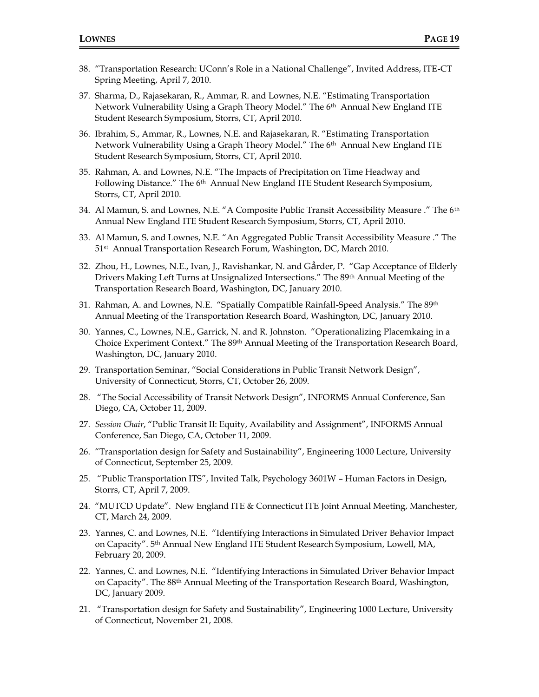- 38. "Transportation Research: UConn's Role in a National Challenge", Invited Address, ITE-CT Spring Meeting, April 7, 2010.
- 37. Sharma, D., Rajasekaran, R., Ammar, R. and Lownes, N.E. "Estimating Transportation Network Vulnerability Using a Graph Theory Model." The 6<sup>th</sup> Annual New England ITE Student Research Symposium, Storrs, CT, April 2010.
- 36. Ibrahim, S., Ammar, R., Lownes, N.E. and Rajasekaran, R. "Estimating Transportation Network Vulnerability Using a Graph Theory Model." The 6<sup>th</sup> Annual New England ITE Student Research Symposium, Storrs, CT, April 2010.
- 35. Rahman, A. and Lownes, N.E. "The Impacts of Precipitation on Time Headway and Following Distance." The 6<sup>th</sup> Annual New England ITE Student Research Symposium, Storrs, CT, April 2010.
- 34. Al Mamun, S. and Lownes, N.E. "A Composite Public Transit Accessibility Measure ." The 6<sup>th</sup> Annual New England ITE Student Research Symposium, Storrs, CT, April 2010.
- 33. Al Mamun, S. and Lownes, N.E. "An Aggregated Public Transit Accessibility Measure ." The 51st Annual Transportation Research Forum, Washington, DC, March 2010.
- 32. Zhou, H., Lownes, N.E., Ivan, J., Ravishankar, N. and Gårder, P. "Gap Acceptance of Elderly Drivers Making Left Turns at Unsignalized Intersections." The 89th Annual Meeting of the Transportation Research Board, Washington, DC, January 2010.
- 31. Rahman, A. and Lownes, N.E. "Spatially Compatible Rainfall-Speed Analysis." The 89th Annual Meeting of the Transportation Research Board, Washington, DC, January 2010.
- 30. Yannes, C., Lownes, N.E., Garrick, N. and R. Johnston. "Operationalizing Placemkaing in a Choice Experiment Context." The 89th Annual Meeting of the Transportation Research Board, Washington, DC, January 2010.
- 29. Transportation Seminar, "Social Considerations in Public Transit Network Design", University of Connecticut, Storrs, CT, October 26, 2009.
- 28. "The Social Accessibility of Transit Network Design", INFORMS Annual Conference, San Diego, CA, October 11, 2009.
- 27. *Session Chair*, "Public Transit II: Equity, Availability and Assignment", INFORMS Annual Conference, San Diego, CA, October 11, 2009.
- 26. "Transportation design for Safety and Sustainability", Engineering 1000 Lecture, University of Connecticut, September 25, 2009.
- 25. "Public Transportation ITS", Invited Talk, Psychology 3601W Human Factors in Design, Storrs, CT, April 7, 2009.
- 24. "MUTCD Update". New England ITE & Connecticut ITE Joint Annual Meeting, Manchester, CT, March 24, 2009.
- 23. Yannes, C. and Lownes, N.E. "Identifying Interactions in Simulated Driver Behavior Impact on Capacity". 5th Annual New England ITE Student Research Symposium, Lowell, MA, February 20, 2009.
- 22. Yannes, C. and Lownes, N.E. "Identifying Interactions in Simulated Driver Behavior Impact on Capacity". The 88th Annual Meeting of the Transportation Research Board, Washington, DC, January 2009.
- 21. "Transportation design for Safety and Sustainability", Engineering 1000 Lecture, University of Connecticut, November 21, 2008.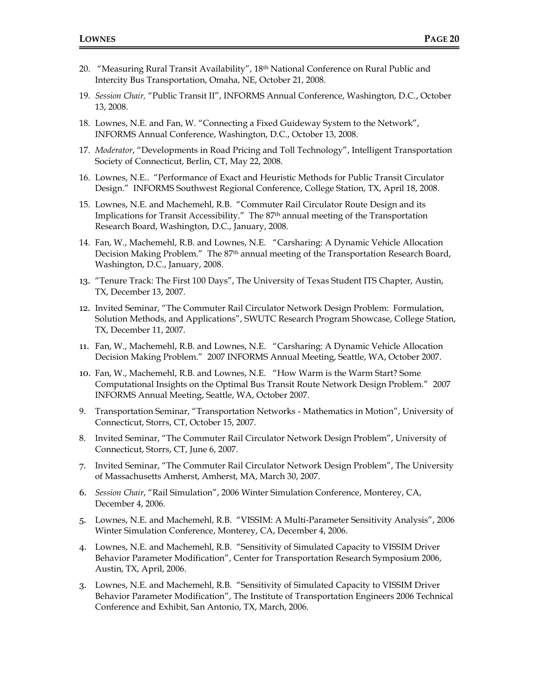- 20. "Measuring Rural Transit Availability", 18th National Conference on Rural Public and Intercity Bus Transportation, Omaha, NE, October 21, 2008.
- 19. *Session Chair,* "Public Transit II", INFORMS Annual Conference, Washington, D.C., October 13, 2008.
- 18. Lownes, N.E. and Fan, W. "Connecting a Fixed Guideway System to the Network", INFORMS Annual Conference, Washington, D.C., October 13, 2008.
- 17. *Moderator*, "Developments in Road Pricing and Toll Technology", Intelligent Transportation Society of Connecticut, Berlin, CT, May 22, 2008.
- 16. Lownes, N.E.. "Performance of Exact and Heuristic Methods for Public Transit Circulator Design." INFORMS Southwest Regional Conference, College Station, TX, April 18, 2008.
- 15. Lownes, N.E. and Machemehl, R.B. "Commuter Rail Circulator Route Design and its Implications for Transit Accessibility." The 87th annual meeting of the Transportation Research Board, Washington, D.C., January, 2008.
- 14. Fan, W., Machemehl, R.B. and Lownes, N.E. "Carsharing: A Dynamic Vehicle Allocation Decision Making Problem." The 87<sup>th</sup> annual meeting of the Transportation Research Board, Washington, D.C., January, 2008.
- 13. "Tenure Track: The First 100 Days", The University of Texas Student ITS Chapter, Austin, TX, December 13, 2007.
- 12. Invited Seminar, "The Commuter Rail Circulator Network Design Problem: Formulation, Solution Methods, and Applications", SWUTC Research Program Showcase, College Station, TX, December 11, 2007.
- 11. Fan, W., Machemehl, R.B. and Lownes, N.E. "Carsharing: A Dynamic Vehicle Allocation Decision Making Problem." 2007 INFORMS Annual Meeting, Seattle, WA, October 2007.
- 10. Fan, W., Machemehl, R.B. and Lownes, N.E. "How Warm is the Warm Start? Some Computational Insights on the Optimal Bus Transit Route Network Design Problem." 2007 INFORMS Annual Meeting, Seattle, WA, October 2007.
- 9. Transportation Seminar, "Transportation Networks Mathematics in Motion", University of Connecticut, Storrs, CT, October 15, 2007.
- 8. Invited Seminar, "The Commuter Rail Circulator Network Design Problem", University of Connecticut, Storrs, CT, June 6, 2007.
- 7. Invited Seminar, "The Commuter Rail Circulator Network Design Problem", The University of Massachusetts Amherst, Amherst, MA, March 30, 2007.
- 6. *Session Chair*, "Rail Simulation", 2006 Winter Simulation Conference, Monterey, CA, December 4, 2006.
- 5. Lownes, N.E. and Machemehl, R.B. "VISSIM: A Multi-Parameter Sensitivity Analysis", 2006 Winter Simulation Conference, Monterey, CA, December 4, 2006.
- 4. Lownes, N.E. and Machemehl, R.B. "Sensitivity of Simulated Capacity to VISSIM Driver Behavior Parameter Modification", Center for Transportation Research Symposium 2006, Austin, TX, April, 2006.
- 3. Lownes, N.E. and Machemehl, R.B. "Sensitivity of Simulated Capacity to VISSIM Driver Behavior Parameter Modification", The Institute of Transportation Engineers 2006 Technical Conference and Exhibit, San Antonio, TX, March, 2006.